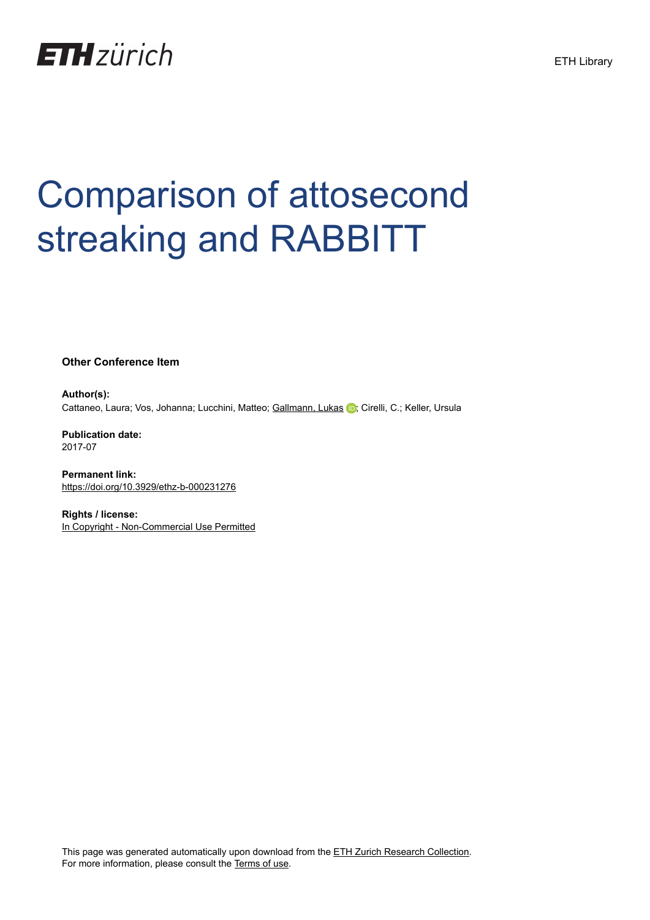

## Comparison of attosecond streaking and RABBITT

**Other Conference Item**

**Author(s):** Cattaneo, Laura; Vos, Johanna; Lucchini, Matteo; [Gallmann, Lukas](https://orcid.org/0000-0003-3167-8271) D; Cirelli, C.; Keller, Ursula

**Publication date:** 2017-07

**Permanent link:** <https://doi.org/10.3929/ethz-b-000231276>

**Rights / license:** [In Copyright - Non-Commercial Use Permitted](http://rightsstatements.org/page/InC-NC/1.0/)